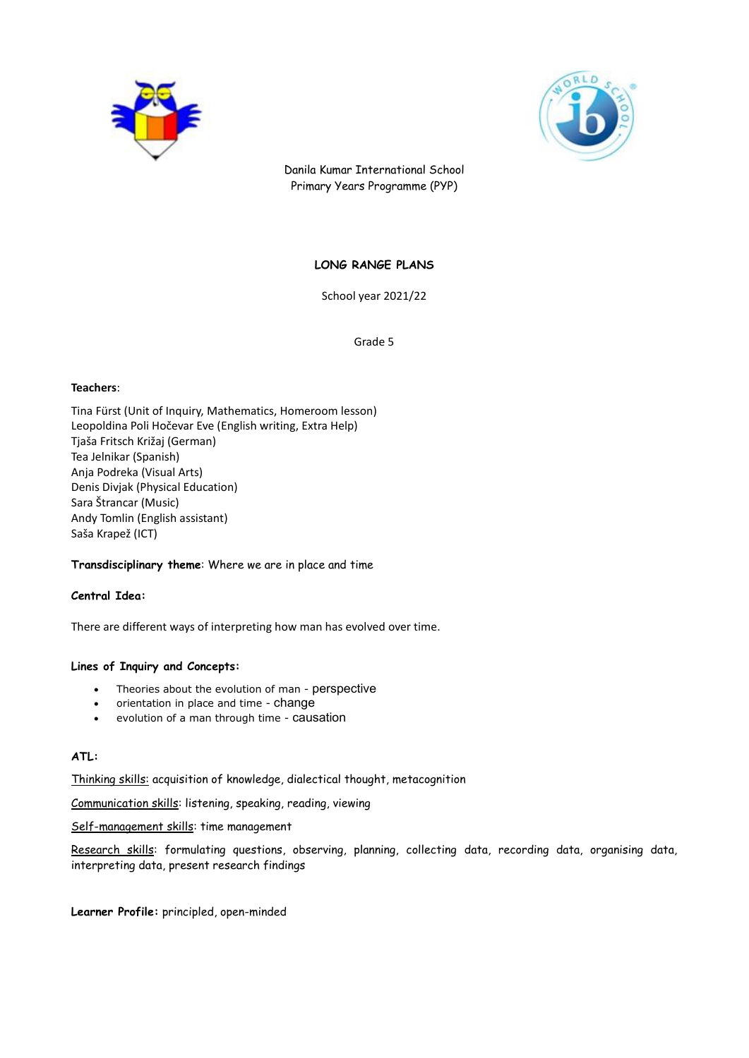



Danila Kumar International School Primary Years Programme (PYP)

# **LONG RANGE PLANS**

School year 2021/22

Grade 5

## **Teachers**:

Tina Fürst (Unit of Inquiry, Mathematics, Homeroom lesson) Leopoldina Poli Hočevar Eve (English writing, Extra Help) Tjaša Fritsch Križaj (German) Tea Jelnikar (Spanish) Anja Podreka (Visual Arts) Denis Divjak (Physical Education) Sara Štrancar (Music) Andy Tomlin (English assistant) Saša Krapež (ICT)

## **Transdisciplinary theme**: Where we are in place and time

## **Central Idea:**

There are different ways of interpreting how man has evolved over time.

## **Lines of Inquiry and Concepts:**

- Theories about the evolution of man perspective
- orientation in place and time change
- evolution of a man through time causation

# **ATL:**

Thinking skills: acquisition of knowledge, dialectical thought, metacognition

Communication skills: listening, speaking, reading, viewing

Self-management skills: time management

Research skills: formulating questions, observing, planning, collecting data, recording data, organising data, interpreting data, present research findings

**Learner Profile:** principled, open-minded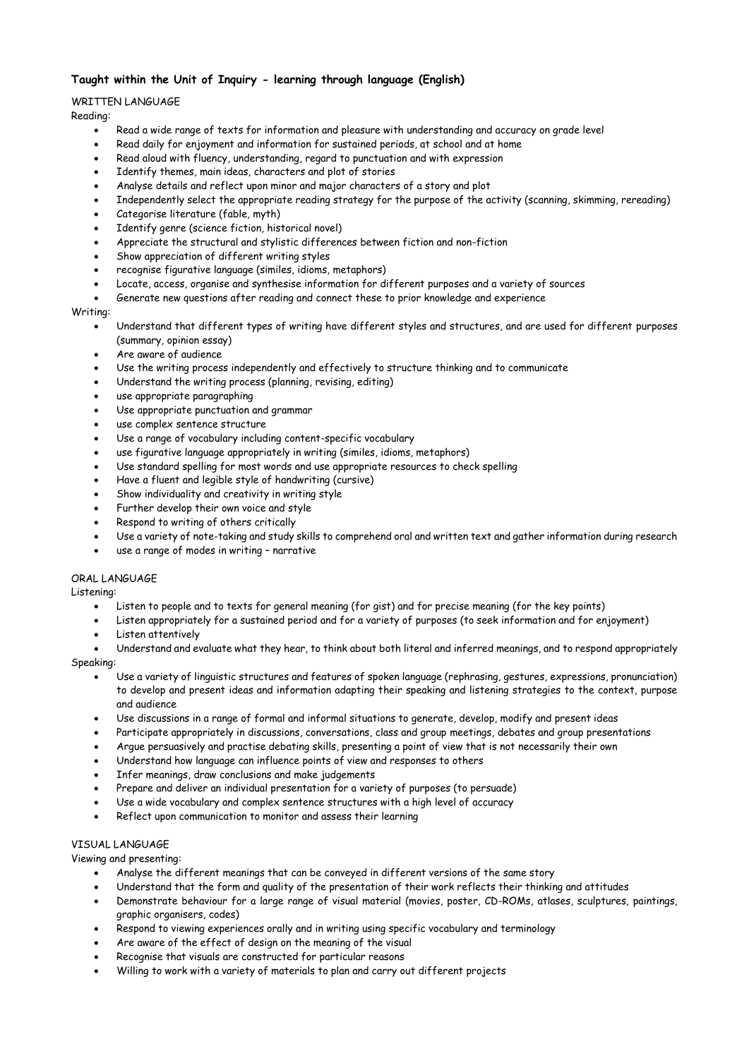# **Taught within the Unit of Inquiry - learning through language (English)**

## WRITTEN LANGUAGE

Reading:

- Read a wide range of texts for information and pleasure with understanding and accuracy on grade level
- Read daily for enjoyment and information for sustained periods, at school and at home
- Read aloud with fluency, understanding, regard to punctuation and with expression
- Identify themes, main ideas, characters and plot of stories
- Analyse details and reflect upon minor and major characters of a story and plot
- Independently select the appropriate reading strategy for the purpose of the activity (scanning, skimming, rereading)
- Categorise literature (fable, myth)
- Identify genre (science fiction, historical novel)
- Appreciate the structural and stylistic differences between fiction and non-fiction
- Show appreciation of different writing styles
- recognise figurative language (similes, idioms, metaphors)
- Locate, access, organise and synthesise information for different purposes and a variety of sources
- Generate new questions after reading and connect these to prior knowledge and experience

# Writing:

- Understand that different types of writing have different styles and structures, and are used for different purposes (summary, opinion essay)
- Are aware of audience
- Use the writing process independently and effectively to structure thinking and to communicate
- Understand the writing process (planning, revising, editing)
- use appropriate paragraphing
- Use appropriate punctuation and grammar
- use complex sentence structure
- Use a range of vocabulary including content-specific vocabulary
- use figurative language appropriately in writing (similes, idioms, metaphors)
- Use standard spelling for most words and use appropriate resources to check spelling
- Have a fluent and legible style of handwriting (cursive)
- Show individuality and creativity in writing style
- Further develop their own voice and style
- Respond to writing of others critically
- Use a variety of note-taking and study skills to comprehend oral and written text and gather information during research
- use a range of modes in writing narrative

### ORAL LANGUAGE

Listening:

- Listen to people and to texts for general meaning (for gist) and for precise meaning (for the key points)
- Listen appropriately for a sustained period and for a variety of purposes (to seek information and for enjoyment)
- Listen attentively
- Understand and evaluate what they hear, to think about both literal and inferred meanings, and to respond appropriately

## Speaking:

- Use a variety of linguistic structures and features of spoken language (rephrasing, gestures, expressions, pronunciation) to develop and present ideas and information adapting their speaking and listening strategies to the context, purpose and audience
- Use discussions in a range of formal and informal situations to generate, develop, modify and present ideas
- Participate appropriately in discussions, conversations, class and group meetings, debates and group presentations
- Argue persuasively and practise debating skills, presenting a point of view that is not necessarily their own
- Understand how language can influence points of view and responses to others
- Infer meanings, draw conclusions and make judgements
- Prepare and deliver an individual presentation for a variety of purposes (to persuade)
- Use a wide vocabulary and complex sentence structures with a high level of accuracy
- Reflect upon communication to monitor and assess their learning

## VISUAL LANGUAGE

Viewing and presenting:

- Analyse the different meanings that can be conveyed in different versions of the same story
- Understand that the form and quality of the presentation of their work reflects their thinking and attitudes
- Demonstrate behaviour for a large range of visual material (movies, poster, CD-ROMs, atlases, sculptures, paintings, graphic organisers, codes)
- Respond to viewing experiences orally and in writing using specific vocabulary and terminology
- Are aware of the effect of design on the meaning of the visual
- Recognise that visuals are constructed for particular reasons
- Willing to work with a variety of materials to plan and carry out different projects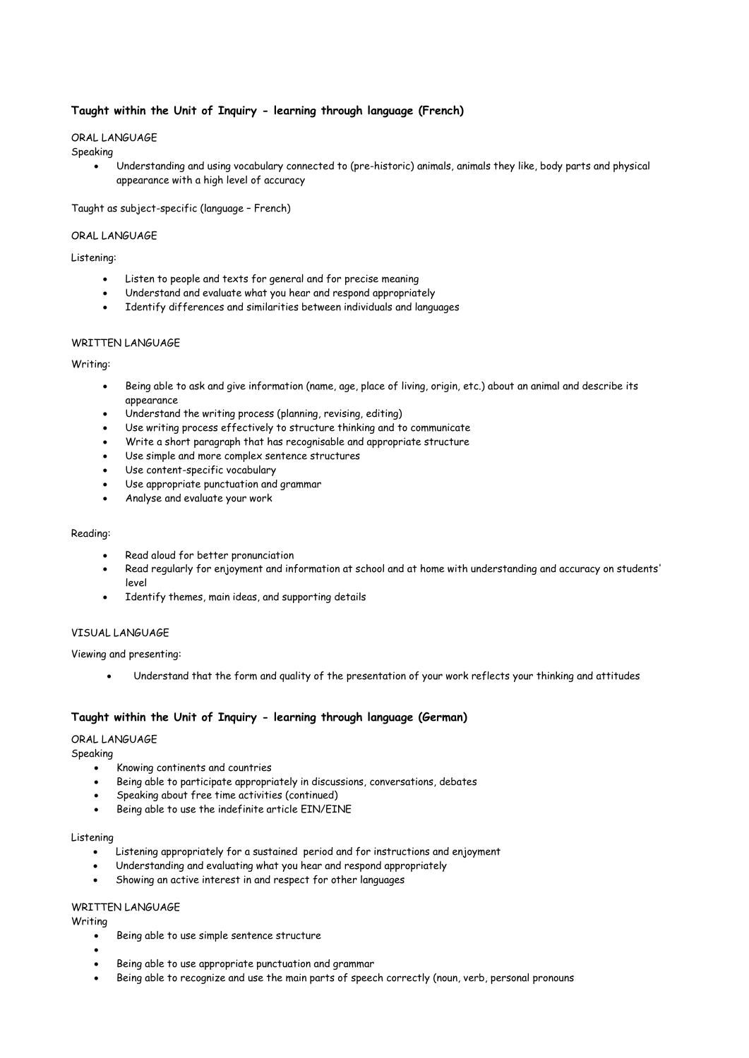## **Taught within the Unit of Inquiry - learning through language (French)**

## ORAL LANGUAGE

#### Speaking

 Understanding and using vocabulary connected to (pre-historic) animals, animals they like, body parts and physical appearance with a high level of accuracy

## Taught as subject-specific (language – French)

## ORAL LANGUAGE

## Listening:

- Listen to people and texts for general and for precise meaning
- Understand and evaluate what you hear and respond appropriately
- Identify differences and similarities between individuals and languages

## WRITTEN LANGUAGE

## Writing:

- Being able to ask and give information (name, age, place of living, origin, etc.) about an animal and describe its appearance
- Understand the writing process (planning, revising, editing)
- Use writing process effectively to structure thinking and to communicate
- Write a short paragraph that has recognisable and appropriate structure
- Use simple and more complex sentence structures
- Use content-specific vocabulary
- Use appropriate punctuation and grammar
- Analyse and evaluate your work

## Reading:

- Read aloud for better pronunciation
- Read regularly for enjoyment and information at school and at home with understanding and accuracy on students' level
- Identify themes, main ideas, and supporting details

## VISUAL LANGUAGE

## Viewing and presenting:

Understand that the form and quality of the presentation of your work reflects your thinking and attitudes

## **Taught within the Unit of Inquiry - learning through language (German)**

### ORAL LANGUAGE

Speaking

- Knowing continents and countries
- Being able to participate appropriately in discussions, conversations, debates
- Speaking about free time activities (continued)
- Being able to use the indefinite article EIN/EINE

## Listening

- Listening appropriately for a sustained period and for instructions and enjoyment
- Understanding and evaluating what you hear and respond appropriately
- Showing an active interest in and respect for other languages

### WRITTEN LANGUAGE

Writing

 $\bullet$ 

- Being able to use simple sentence structure
- Being able to use appropriate punctuation and grammar
- Being able to recognize and use the main parts of speech correctly (noun, verb, personal pronouns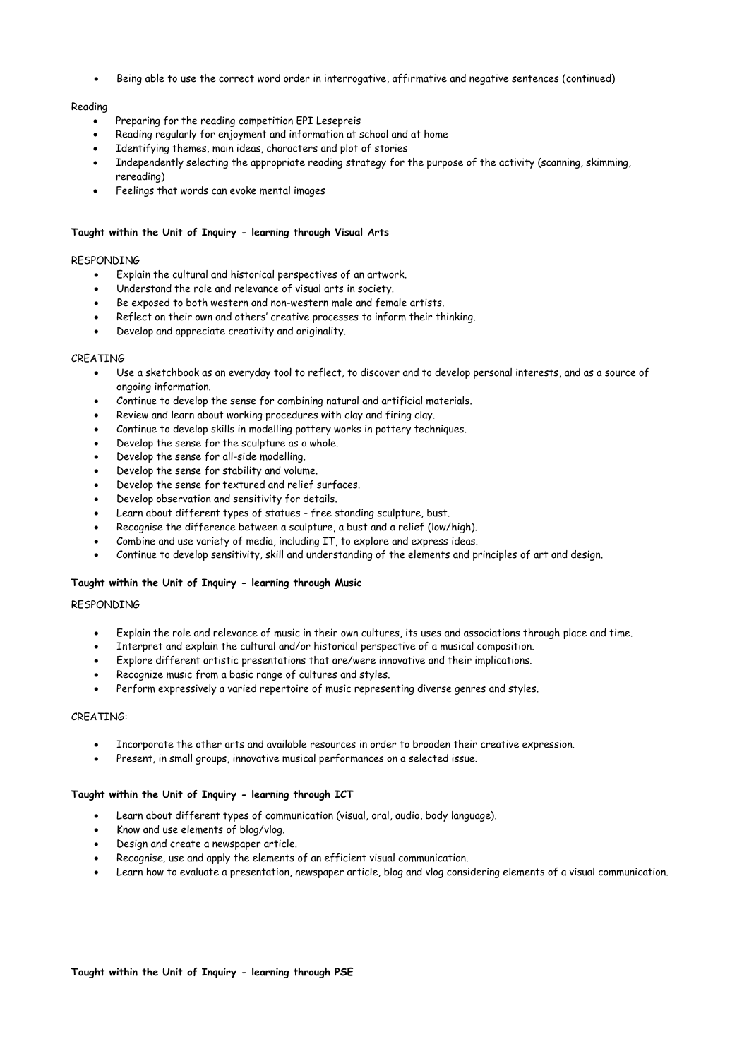Being able to use the correct word order in interrogative, affirmative and negative sentences (continued)

## Reading

- Preparing for the reading competition EPI Lesepreis
- Reading regularly for enjoyment and information at school and at home
- Identifying themes, main ideas, characters and plot of stories
- Independently selecting the appropriate reading strategy for the purpose of the activity (scanning, skimming, rereading)
- Feelings that words can evoke mental images

#### **Taught within the Unit of Inquiry - learning through Visual Arts**

#### RESPONDING

- Explain the cultural and historical perspectives of an artwork.
- Understand the role and relevance of visual arts in society.
- Be exposed to both western and non-western male and female artists.
- Reflect on their own and others' creative processes to inform their thinking.
- Develop and appreciate creativity and originality.

#### CREATING

- Use a sketchbook as an everyday tool to reflect, to discover and to develop personal interests, and as a source of ongoing information.
- Continue to develop the sense for combining natural and artificial materials.
- Review and learn about working procedures with clay and firing clay.
- Continue to develop skills in modelling pottery works in pottery techniques.
- Develop the sense for the sculpture as a whole.
- Develop the sense for all-side modelling.
- Develop the sense for stability and volume.
- Develop the sense for textured and relief surfaces.
- Develop observation and sensitivity for details.
- Learn about different types of statues free standing sculpture, bust.
- Recognise the difference between a sculpture, a bust and a relief (low/high).
- Combine and use variety of media, including IT, to explore and express ideas.
- Continue to develop sensitivity, skill and understanding of the elements and principles of art and design.

## **Taught within the Unit of Inquiry - learning through Music**

### RESPONDING

- Explain the role and relevance of music in their own cultures, its uses and associations through place and time.
- Interpret and explain the cultural and/or historical perspective of a musical composition.
- Explore different artistic presentations that are/were innovative and their implications.
- Recognize music from a basic range of cultures and styles.
- Perform expressively a varied repertoire of music representing diverse genres and styles.

#### CREATING:

- Incorporate the other arts and available resources in order to broaden their creative expression.
- Present, in small groups, innovative musical performances on a selected issue.

#### **Taught within the Unit of Inquiry - learning through ICT**

- Learn about different types of communication (visual, oral, audio, body language).
- Know and use elements of blog/vlog.
- Design and create a newspaper article.
- Recognise, use and apply the elements of an efficient visual communication.
- Learn how to evaluate a presentation, newspaper article, blog and vlog considering elements of a visual communication.